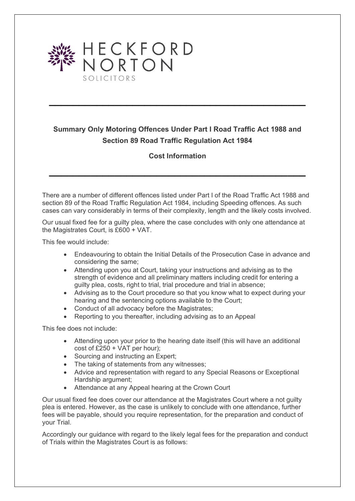

## **Summary Only Motoring Offences Under Part I Road Traffic Act 1988 and Section 89 Road Traffic Regulation Act 1984**

**\_\_\_\_\_\_\_\_\_\_\_\_\_\_\_\_\_\_\_\_\_\_\_\_\_\_\_\_\_\_\_\_\_\_\_\_\_\_\_\_\_\_\_**

## **Cost Information**

**\_\_\_\_\_\_\_\_\_\_\_\_\_\_\_\_\_\_\_\_\_\_\_\_\_\_\_\_\_\_\_\_\_\_\_\_\_\_\_\_\_\_\_**

There are a number of different offences listed under Part I of the Road Traffic Act 1988 and section 89 of the Road Traffic Regulation Act 1984, including Speeding offences. As such cases can vary considerably in terms of their complexity, length and the likely costs involved.

Our usual fixed fee for a guilty plea, where the case concludes with only one attendance at the Magistrates Court, is £600 + VAT.

This fee would include:

- Endeavouring to obtain the Initial Details of the Prosecution Case in advance and considering the same;
- Attending upon you at Court, taking your instructions and advising as to the strength of evidence and all preliminary matters including credit for entering a guilty plea, costs, right to trial, trial procedure and trial in absence;
- Advising as to the Court procedure so that you know what to expect during your hearing and the sentencing options available to the Court;
- Conduct of all advocacy before the Magistrates;
- Reporting to you thereafter, including advising as to an Appeal

This fee does not include:

- Attending upon your prior to the hearing date itself (this will have an additional cost of £250 + VAT per hour);
- Sourcing and instructing an Expert;
- The taking of statements from any witnesses;
- Advice and representation with regard to any Special Reasons or Exceptional Hardship argument;
- Attendance at any Appeal hearing at the Crown Court

Our usual fixed fee does cover our attendance at the Magistrates Court where a not guilty plea is entered. However, as the case is unlikely to conclude with one attendance, further fees will be payable, should you require representation, for the preparation and conduct of your Trial.

Accordingly our guidance with regard to the likely legal fees for the preparation and conduct of Trials within the Magistrates Court is as follows: